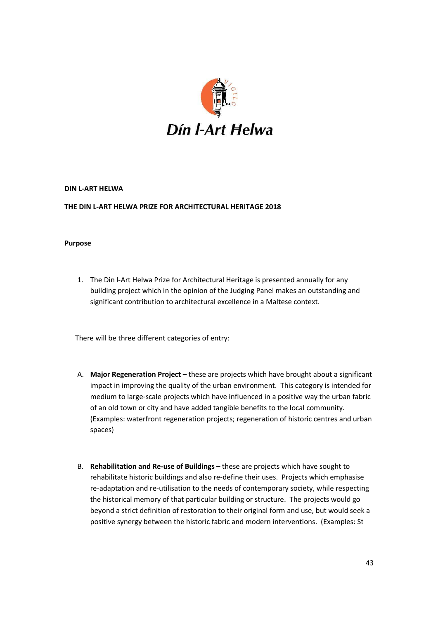

## **DIN L-ART HELWA**

## **THE DIN L-ART HELWA PRIZE FOR ARCHITECTURAL HERITAGE 2018**

#### **Purpose**

1. The Din l-Art Helwa Prize for Architectural Heritage is presented annually for any building project which in the opinion of the Judging Panel makes an outstanding and significant contribution to architectural excellence in a Maltese context.

There will be three different categories of entry:

- A. **Major Regeneration Project** these are projects which have brought about a significant impact in improving the quality of the urban environment. This category is intended for medium to large-scale projects which have influenced in a positive way the urban fabric of an old town or city and have added tangible benefits to the local community. (Examples: waterfront regeneration projects; regeneration of historic centres and urban spaces)
- B. **Rehabilitation and Re-use of Buildings** these are projects which have sought to rehabilitate historic buildings and also re-define their uses. Projects which emphasise re-adaptation and re-utilisation to the needs of contemporary society, while respecting the historical memory of that particular building or structure. The projects would go beyond a strict definition of restoration to their original form and use, but would seek a positive synergy between the historic fabric and modern interventions. (Examples: St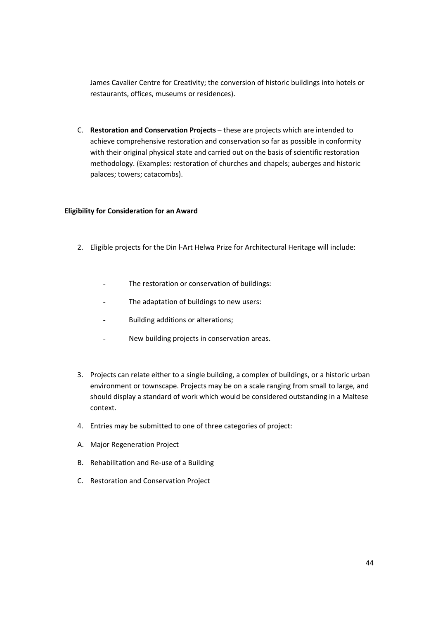James Cavalier Centre for Creativity; the conversion of historic buildings into hotels or restaurants, offices, museums or residences).

C. **Restoration and Conservation Projects** – these are projects which are intended to achieve comprehensive restoration and conservation so far as possible in conformity with their original physical state and carried out on the basis of scientific restoration methodology. (Examples: restoration of churches and chapels; auberges and historic palaces; towers; catacombs).

### **Eligibility for Consideration for an Award**

- 2. Eligible projects for the Din l-Art Helwa Prize for Architectural Heritage will include:
	- The restoration or conservation of buildings:
	- The adaptation of buildings to new users:
	- Building additions or alterations;
	- New building projects in conservation areas.
- 3. Projects can relate either to a single building, a complex of buildings, or a historic urban environment or townscape. Projects may be on a scale ranging from small to large, and should display a standard of work which would be considered outstanding in a Maltese context.
- 4. Entries may be submitted to one of three categories of project:
- A. Major Regeneration Project
- B. Rehabilitation and Re-use of a Building
- C. Restoration and Conservation Project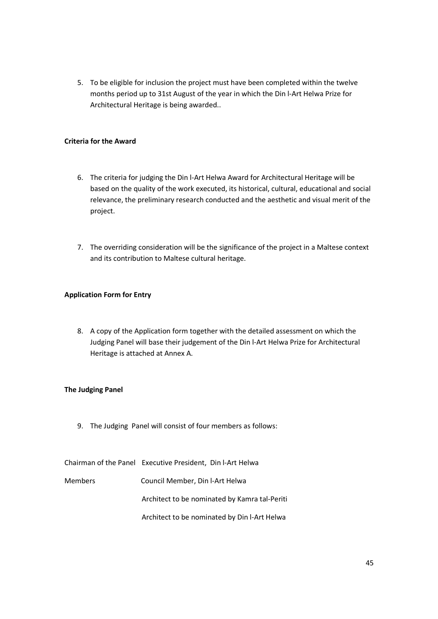5. To be eligible for inclusion the project must have been completed within the twelve months period up to 31st August of the year in which the Din l-Art Helwa Prize for Architectural Heritage is being awarded..

# **Criteria for the Award**

- 6. The criteria for judging the Din l-Art Helwa Award for Architectural Heritage will be based on the quality of the work executed, its historical, cultural, educational and social relevance, the preliminary research conducted and the aesthetic and visual merit of the project.
- 7. The overriding consideration will be the significance of the project in a Maltese context and its contribution to Maltese cultural heritage.

# **Application Form for Entry**

8. A copy of the Application form together with the detailed assessment on which the Judging Panel will base their judgement of the Din l-Art Helwa Prize for Architectural Heritage is attached at Annex A.

## **The Judging Panel**

9. The Judging Panel will consist of four members as follows:

Chairman of the Panel Executive President, Din l-Art Helwa

Members Council Member, Din l-Art Helwa Architect to be nominated by Kamra tal-Periti

Architect to be nominated by Din l-Art Helwa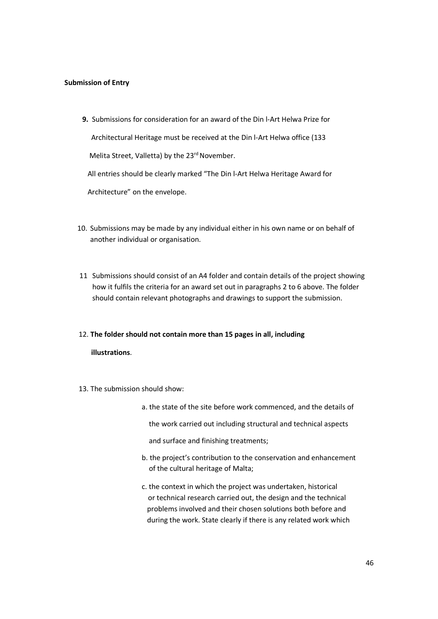### **Submission of Entry**

- **9.** Submissions for consideration for an award of the Din l-Art Helwa Prize for Architectural Heritage must be received at the Din l-Art Helwa office (133 Melita Street, Valletta) by the 23<sup>rd</sup> November. All entries should be clearly marked "The Din l-Art Helwa Heritage Award for Architecture" on the envelope.
- 10. Submissions may be made by any individual either in his own name or on behalf of another individual or organisation.
- 11 Submissions should consist of an A4 folder and contain details of the project showing how it fulfils the criteria for an award set out in paragraphs 2 to 6 above. The folder should contain relevant photographs and drawings to support the submission.

#### 12. **The folder should not contain more than 15 pages in all, including**

#### **illustrations**.

- 13. The submission should show:
	- a. the state of the site before work commenced, and the details of
		- the work carried out including structural and technical aspects
		- and surface and finishing treatments;
	- b. the project's contribution to the conservation and enhancement of the cultural heritage of Malta;
	- c. the context in which the project was undertaken, historical or technical research carried out, the design and the technical problems involved and their chosen solutions both before and during the work. State clearly if there is any related work which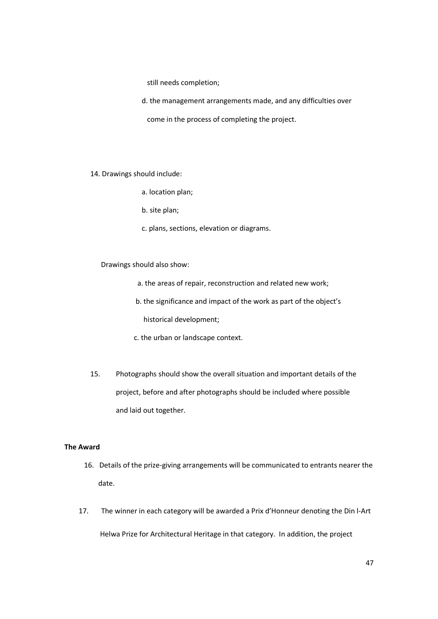still needs completion;

d. the management arrangements made, and any difficulties over

come in the process of completing the project.

14. Drawings should include:

a. location plan;

b. site plan;

c. plans, sections, elevation or diagrams.

Drawings should also show:

a. the areas of repair, reconstruction and related new work;

b. the significance and impact of the work as part of the object's

historical development;

- c. the urban or landscape context.
- 15. Photographs should show the overall situation and important details of the project, before and after photographs should be included where possible and laid out together.

#### **The Award**

- 16. Details of the prize-giving arrangements will be communicated to entrants nearer the date.
- 17. The winner in each category will be awarded a Prix d'Honneur denoting the Din l-Art Helwa Prize for Architectural Heritage in that category. In addition, the project